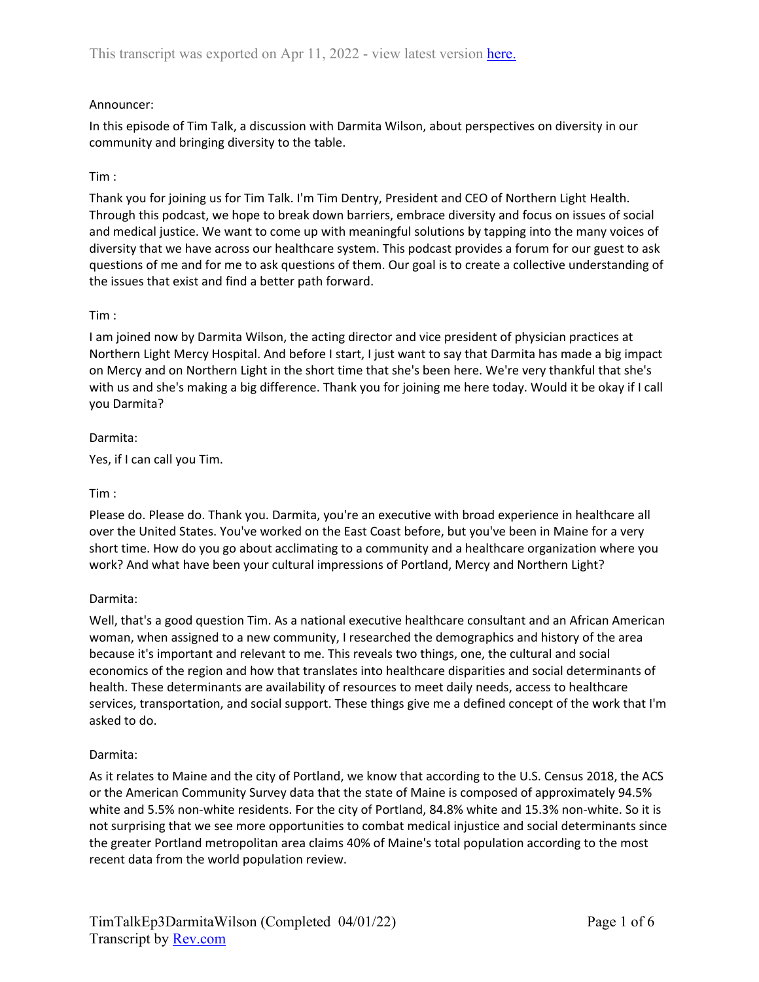## Announcer:

In this episode of Tim Talk, a discussion with Darmita Wilson, about perspectives on diversity in our community and bringing diversity to the table.

#### Tim :

Thank you for joining us for Tim Talk. I'm Tim Dentry, President and CEO of Northern Light Health. Through this podcast, we hope to break down barriers, embrace diversity and focus on issues of social and medical justice. We want to come up with meaningful solutions by tapping into the many voices of diversity that we have across our healthcare system. This podcast provides a forum for our guest to ask questions of me and for me to ask questions of them. Our goal is to create a collective understanding of the issues that exist and find a better path forward.

#### Tim :

I am joined now by Darmita Wilson, the acting director and vice president of physician practices at Northern Light Mercy Hospital. And before I start, I just want to say that Darmita has made a big impact on Mercy and on Northern Light in the short time that she's been here. We're very thankful that she's with us and she's making a big difference. Thank you for joining me here today. Would it be okay if I call you Darmita?

#### Darmita:

Yes, if I can call you Tim.

#### Tim :

Please do. Please do. Thank you. Darmita, you're an executive with broad experience in healthcare all over the United States. You've worked on the East Coast before, but you've been in Maine for a very short time. How do you go about acclimating to a community and a healthcare organization where you work? And what have been your cultural impressions of Portland, Mercy and Northern Light?

## Darmita:

Well, that's a good question Tim. As a national executive healthcare consultant and an African American woman, when assigned to a new community, I researched the demographics and history of the area because it's important and relevant to me. This reveals two things, one, the cultural and social economics of the region and how that translates into healthcare disparities and social determinants of health. These determinants are availability of resources to meet daily needs, access to healthcare services, transportation, and social support. These things give me a defined concept of the work that I'm asked to do.

#### Darmita:

As it relates to Maine and the city of Portland, we know that according to the U.S. Census 2018, the ACS or the American Community Survey data that the state of Maine is composed of approximately 94.5% white and 5.5% non-white residents. For the city of Portland, 84.8% white and 15.3% non-white. So it is not surprising that we see more opportunities to combat medical injustice and social determinants since the greater Portland metropolitan area claims 40% of Maine's total population according to the most recent data from the world population review.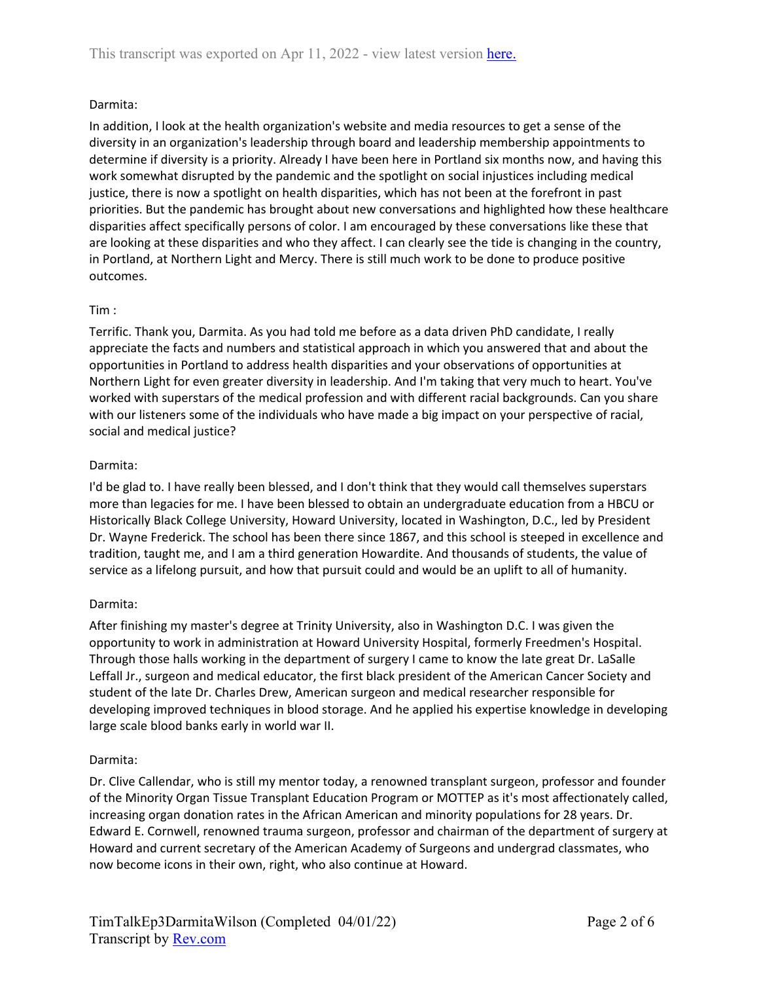## Darmita:

In addition, I look at the health organization's website and media resources to get a sense of the diversity in an organization's leadership through board and leadership membership appointments to determine if diversity is a priority. Already I have been here in Portland six months now, and having this work somewhat disrupted by the pandemic and the spotlight on social injustices including medical justice, there is now a spotlight on health disparities, which has not been at the forefront in past priorities. But the pandemic has brought about new conversations and highlighted how these healthcare disparities affect specifically persons of color. I am encouraged by these conversations like these that are looking at these disparities and who they affect. I can clearly see the tide is changing in the country, in Portland, at Northern Light and Mercy. There is still much work to be done to produce positive outcomes.

## Tim :

Terrific. Thank you, Darmita. As you had told me before as a data driven PhD candidate, I really appreciate the facts and numbers and statistical approach in which you answered that and about the opportunities in Portland to address health disparities and your observations of opportunities at Northern Light for even greater diversity in leadership. And I'm taking that very much to heart. You've worked with superstars of the medical profession and with different racial backgrounds. Can you share with our listeners some of the individuals who have made a big impact on your perspective of racial, social and medical justice?

## Darmita:

I'd be glad to. I have really been blessed, and I don't think that they would call themselves superstars more than legacies for me. I have been blessed to obtain an undergraduate education from a HBCU or Historically Black College University, Howard University, located in Washington, D.C., led by President Dr. Wayne Frederick. The school has been there since 1867, and this school is steeped in excellence and tradition, taught me, and I am a third generation Howardite. And thousands of students, the value of service as a lifelong pursuit, and how that pursuit could and would be an uplift to all of humanity.

## Darmita:

After finishing my master's degree at Trinity University, also in Washington D.C. I was given the opportunity to work in administration at Howard University Hospital, formerly Freedmen's Hospital. Through those halls working in the department of surgery I came to know the late great Dr. LaSalle Leffall Jr., surgeon and medical educator, the first black president of the American Cancer Society and student of the late Dr. Charles Drew, American surgeon and medical researcher responsible for developing improved techniques in blood storage. And he applied his expertise knowledge in developing large scale blood banks early in world war II.

# Darmita:

Dr. Clive Callendar, who is still my mentor today, a renowned transplant surgeon, professor and founder of the Minority Organ Tissue Transplant Education Program or MOTTEP as it's most affectionately called, increasing organ donation rates in the African American and minority populations for 28 years. Dr. Edward E. Cornwell, renowned trauma surgeon, professor and chairman of the department of surgery at Howard and current secretary of the American Academy of Surgeons and undergrad classmates, who now become icons in their own, right, who also continue at Howard.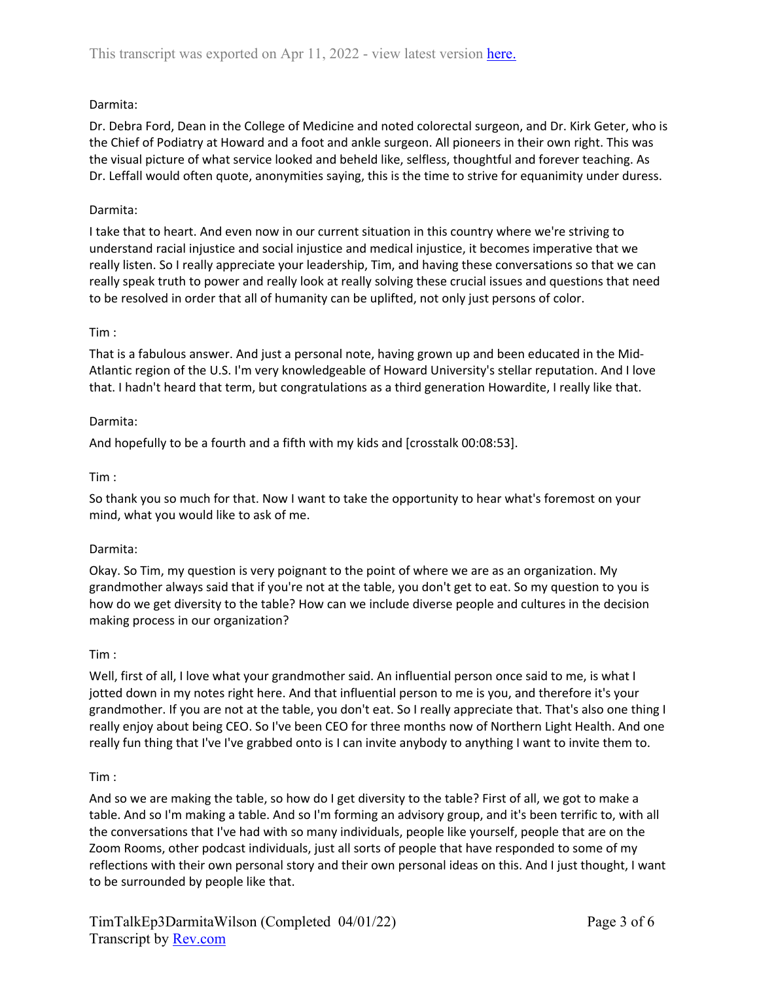## Darmita:

Dr. Debra Ford, Dean in the College of Medicine and noted colorectal surgeon, and Dr. Kirk Geter, who is the Chief of Podiatry at Howard and a foot and ankle surgeon. All pioneers in their own right. This was the visual picture of what service looked and beheld like, selfless, thoughtful and forever teaching. As Dr. Leffall would often quote, anonymities saying, this is the time to strive for equanimity under duress.

## Darmita:

I take that to heart. And even now in our current situation in this country where we're striving to understand racial injustice and social injustice and medical injustice, it becomes imperative that we really listen. So I really appreciate your leadership, Tim, and having these conversations so that we can really speak truth to power and really look at really solving these crucial issues and questions that need to be resolved in order that all of humanity can be uplifted, not only just persons of color.

## Tim :

That is a fabulous answer. And just a personal note, having grown up and been educated in the Mid-Atlantic region of the U.S. I'm very knowledgeable of Howard University's stellar reputation. And I love that. I hadn't heard that term, but congratulations as a third generation Howardite, I really like that.

# Darmita:

And hopefully to be a fourth and a fifth with my kids and [crosstalk 00:08:53].

# Tim :

So thank you so much for that. Now I want to take the opportunity to hear what's foremost on your mind, what you would like to ask of me.

## Darmita:

Okay. So Tim, my question is very poignant to the point of where we are as an organization. My grandmother always said that if you're not at the table, you don't get to eat. So my question to you is how do we get diversity to the table? How can we include diverse people and cultures in the decision making process in our organization?

## Tim :

Well, first of all, I love what your grandmother said. An influential person once said to me, is what I jotted down in my notes right here. And that influential person to me is you, and therefore it's your grandmother. If you are not at the table, you don't eat. So I really appreciate that. That's also one thing I really enjoy about being CEO. So I've been CEO for three months now of Northern Light Health. And one really fun thing that I've I've grabbed onto is I can invite anybody to anything I want to invite them to.

## Tim :

And so we are making the table, so how do I get diversity to the table? First of all, we got to make a table. And so I'm making a table. And so I'm forming an advisory group, and it's been terrific to, with all the conversations that I've had with so many individuals, people like yourself, people that are on the Zoom Rooms, other podcast individuals, just all sorts of people that have responded to some of my reflections with their own personal story and their own personal ideas on this. And I just thought, I want to be surrounded by people like that.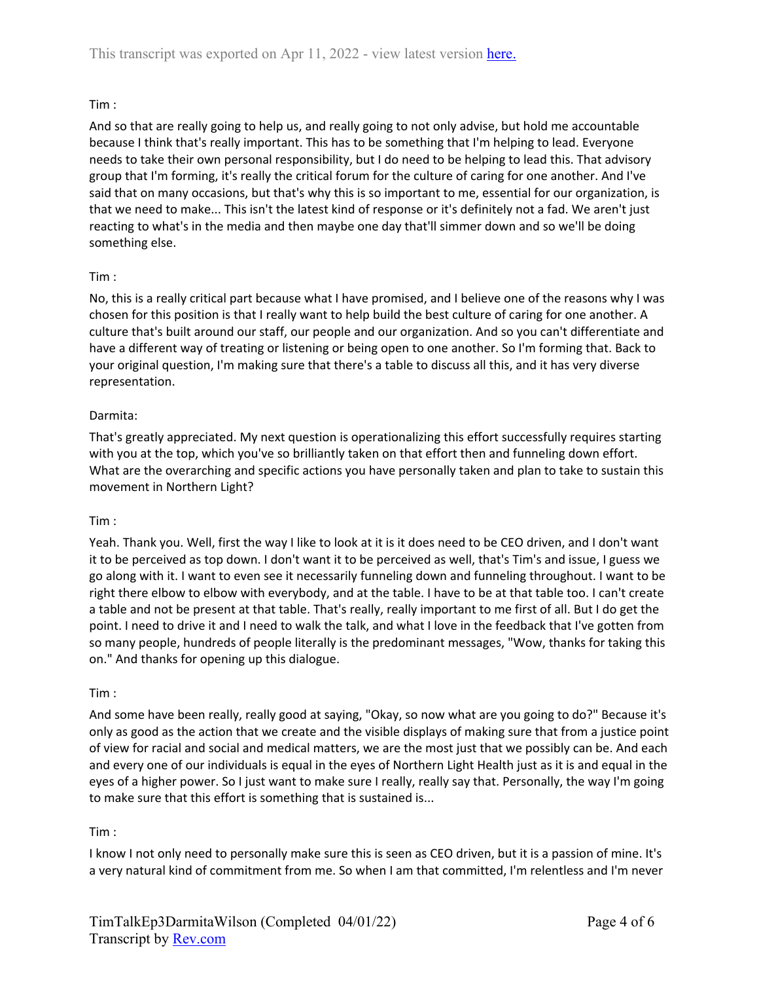## Tim :

And so that are really going to help us, and really going to not only advise, but hold me accountable because I think that's really important. This has to be something that I'm helping to lead. Everyone needs to take their own personal responsibility, but I do need to be helping to lead this. That advisory group that I'm forming, it's really the critical forum for the culture of caring for one another. And I've said that on many occasions, but that's why this is so important to me, essential for our organization, is that we need to make... This isn't the latest kind of response or it's definitely not a fad. We aren't just reacting to what's in the media and then maybe one day that'll simmer down and so we'll be doing something else.

## Tim :

No, this is a really critical part because what I have promised, and I believe one of the reasons why I was chosen for this position is that I really want to help build the best culture of caring for one another. A culture that's built around our staff, our people and our organization. And so you can't differentiate and have a different way of treating or listening or being open to one another. So I'm forming that. Back to your original question, I'm making sure that there's a table to discuss all this, and it has very diverse representation.

#### Darmita:

That's greatly appreciated. My next question is operationalizing this effort successfully requires starting with you at the top, which you've so brilliantly taken on that effort then and funneling down effort. What are the overarching and specific actions you have personally taken and plan to take to sustain this movement in Northern Light?

#### Tim :

Yeah. Thank you. Well, first the way I like to look at it is it does need to be CEO driven, and I don't want it to be perceived as top down. I don't want it to be perceived as well, that's Tim's and issue, I guess we go along with it. I want to even see it necessarily funneling down and funneling throughout. I want to be right there elbow to elbow with everybody, and at the table. I have to be at that table too. I can't create a table and not be present at that table. That's really, really important to me first of all. But I do get the point. I need to drive it and I need to walk the talk, and what I love in the feedback that I've gotten from so many people, hundreds of people literally is the predominant messages, "Wow, thanks for taking this on." And thanks for opening up this dialogue.

## Tim :

And some have been really, really good at saying, "Okay, so now what are you going to do?" Because it's only as good as the action that we create and the visible displays of making sure that from a justice point of view for racial and social and medical matters, we are the most just that we possibly can be. And each and every one of our individuals is equal in the eyes of Northern Light Health just as it is and equal in the eyes of a higher power. So I just want to make sure I really, really say that. Personally, the way I'm going to make sure that this effort is something that is sustained is...

## Tim :

I know I not only need to personally make sure this is seen as CEO driven, but it is a passion of mine. It's a very natural kind of commitment from me. So when I am that committed, I'm relentless and I'm never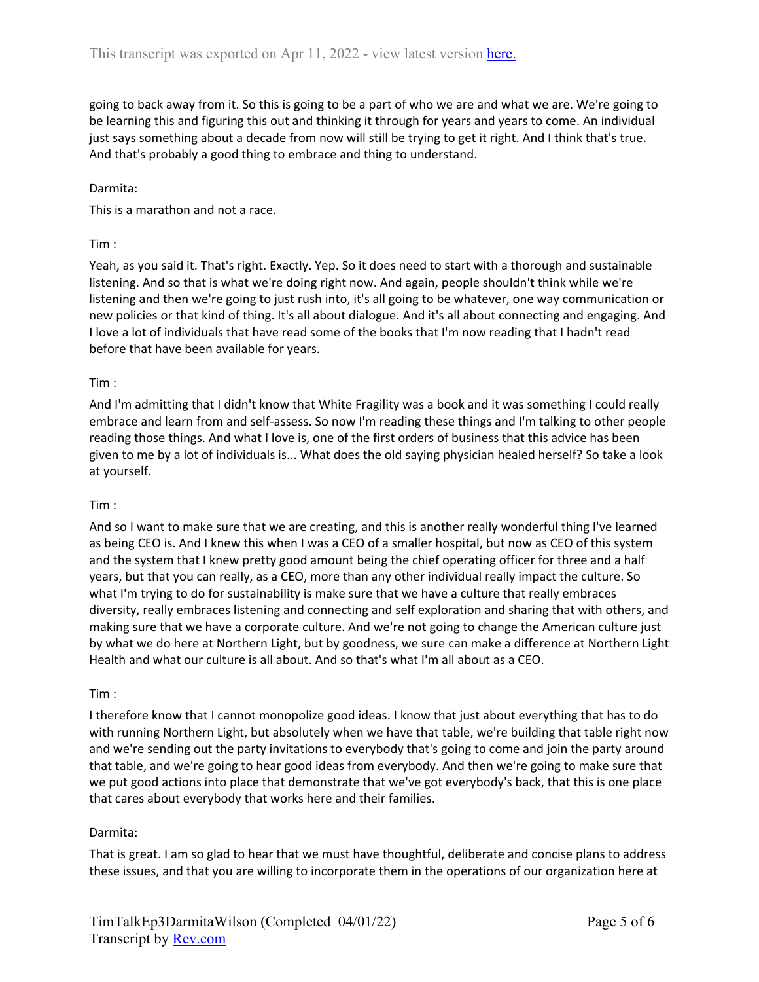going to back away from it. So this is going to be a part of who we are and what we are. We're going to be learning this and figuring this out and thinking it through for years and years to come. An individual just says something about a decade from now will still be trying to get it right. And I think that's true. And that's probably a good thing to embrace and thing to understand.

#### Darmita:

This is a marathon and not a race.

#### Tim :

Yeah, as you said it. That's right. Exactly. Yep. So it does need to start with a thorough and sustainable listening. And so that is what we're doing right now. And again, people shouldn't think while we're listening and then we're going to just rush into, it's all going to be whatever, one way communication or new policies or that kind of thing. It's all about dialogue. And it's all about connecting and engaging. And I love a lot of individuals that have read some of the books that I'm now reading that I hadn't read before that have been available for years.

#### Tim :

And I'm admitting that I didn't know that White Fragility was a book and it was something I could really embrace and learn from and self-assess. So now I'm reading these things and I'm talking to other people reading those things. And what I love is, one of the first orders of business that this advice has been given to me by a lot of individuals is... What does the old saying physician healed herself? So take a look at yourself.

#### Tim :

And so I want to make sure that we are creating, and this is another really wonderful thing I've learned as being CEO is. And I knew this when I was a CEO of a smaller hospital, but now as CEO of this system and the system that I knew pretty good amount being the chief operating officer for three and a half years, but that you can really, as a CEO, more than any other individual really impact the culture. So what I'm trying to do for sustainability is make sure that we have a culture that really embraces diversity, really embraces listening and connecting and self exploration and sharing that with others, and making sure that we have a corporate culture. And we're not going to change the American culture just by what we do here at Northern Light, but by goodness, we sure can make a difference at Northern Light Health and what our culture is all about. And so that's what I'm all about as a CEO.

#### Tim :

I therefore know that I cannot monopolize good ideas. I know that just about everything that has to do with running Northern Light, but absolutely when we have that table, we're building that table right now and we're sending out the party invitations to everybody that's going to come and join the party around that table, and we're going to hear good ideas from everybody. And then we're going to make sure that we put good actions into place that demonstrate that we've got everybody's back, that this is one place that cares about everybody that works here and their families.

## Darmita:

That is great. I am so glad to hear that we must have thoughtful, deliberate and concise plans to address these issues, and that you are willing to incorporate them in the operations of our organization here at